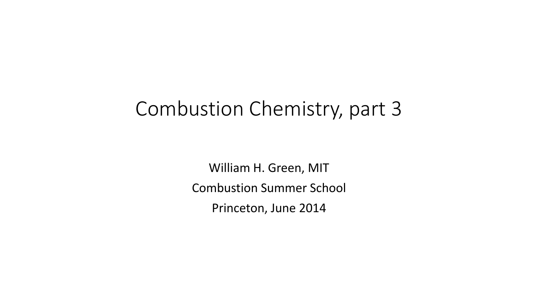### Combustion Chemistry, part 3

William H. Green, MIT Combustion Summer School Princeton, June 2014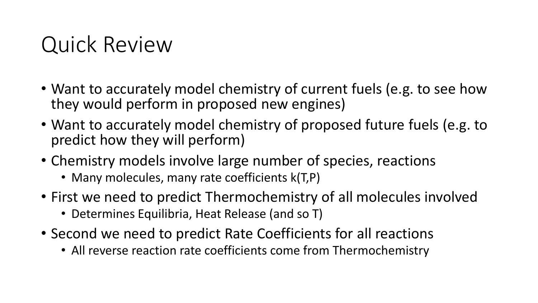## Quick Review

- Want to accurately model chemistry of current fuels (e.g. to see how they would perform in proposed new engines)
- Want to accurately model chemistry of proposed future fuels (e.g. to predict how they will perform)
- Chemistry models involve large number of species, reactions
	- Many molecules, many rate coefficients k(T,P)
- First we need to predict Thermochemistry of all molecules involved
	- Determines Equilibria, Heat Release (and so T)
- Second we need to predict Rate Coefficients for all reactions
	- All reverse reaction rate coefficients come from Thermochemistry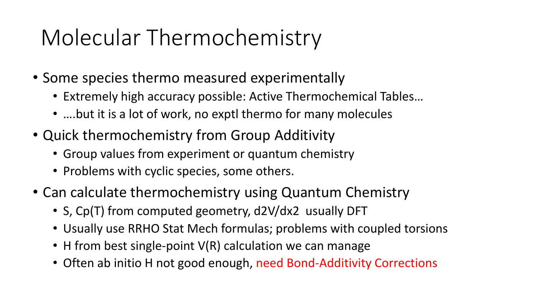# Molecular Thermochemistry

- Some species thermo measured experimentally
	- Extremely high accuracy possible: Active Thermochemical Tables…
	- ....but it is a lot of work, no exptl thermo for many molecules
- Quick thermochemistry from Group Additivity
	- Group values from experiment or quantum chemistry
	- Problems with cyclic species, some others.
- Can calculate thermochemistry using Quantum Chemistry
	- S, Cp(T) from computed geometry, d2V/dx2 usually DFT
	- Usually use RRHO Stat Mech formulas; problems with coupled torsions
	- H from best single-point V(R) calculation we can manage
	- Often ab initio H not good enough, need Bond-Additivity Corrections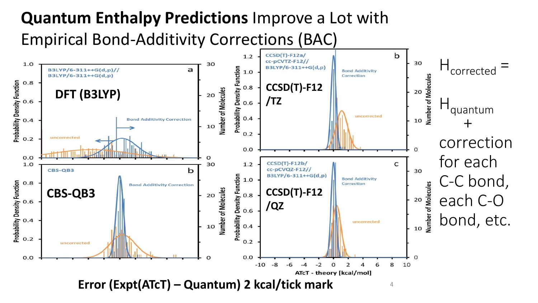### **Quantum Enthalpy Predictions** Improve a Lot with Empirical Bond-Additivity Corrections (BAC)

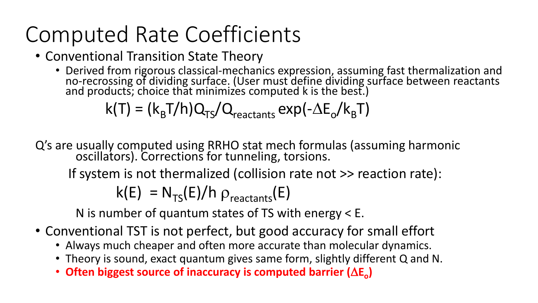# Computed Rate Coefficients

- Conventional Transition State Theory
	- Derived from rigorous classical-mechanics expression, assuming fast thermalization and no-recrossing of dividing surface. (User must define dividing surface between reactants and products; choice that minimizes computed k is the best.)

$$
k(T) = (k_{B}T/h)Q_{TS}/Q_{reactions} \exp(-\Delta E_{o}/k_{B}T)
$$

Q's are usually computed using RRHO stat mech formulas (assuming harmonic oscillators). Corrections for tunneling, torsions.

If system is not thermalized (collision rate not >> reaction rate):

$$
k(E) = N_{TS}(E)/h \rho_{reactions}(E)
$$

N is number of quantum states of TS with energy < E.

- Conventional TST is not perfect, but good accuracy for small effort
	- Always much cheaper and often more accurate than molecular dynamics.
	- Theory is sound, exact quantum gives same form, slightly different Q and N.
	- Often biggest source of inaccuracy is computed barrier ( $\Delta E_{o}$ )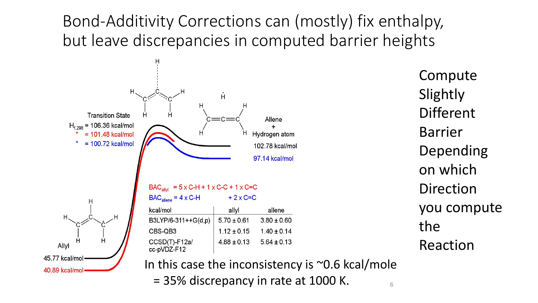#### Bond-Additivity Corrections can (mostly) fix enthalpy, but leave discrepancies in computed barrier heights



Compute **Slightly** Different Barrier Depending on which Direction you compute the Reaction

In this case the inconsistency is  $\sim$ 0.6 kcal/mole  $= 35\%$  discrepancy in rate at 1000 K.  $\frac{65}{6}$